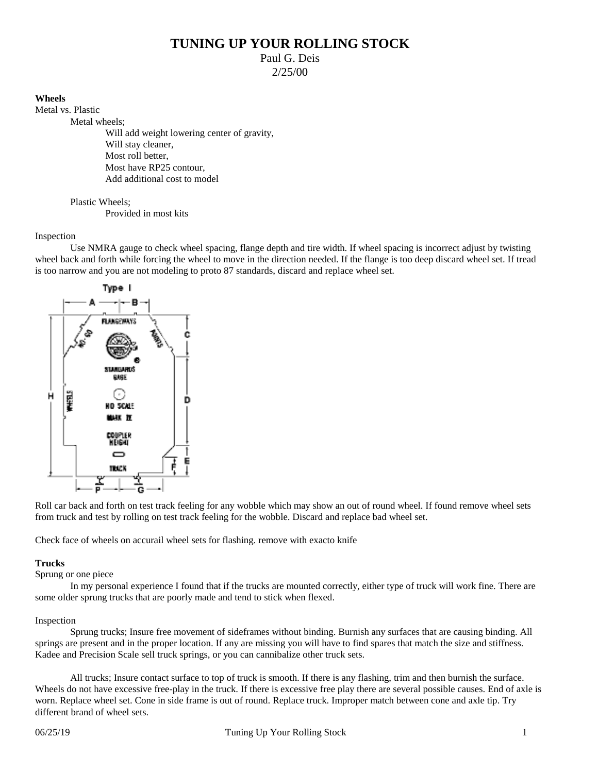# **TUNING UP YOUR ROLLING STOCK**

Paul G. Deis

2/25/00

# **Wheels**

Metal vs. Plastic Metal wheels;

Will add weight lowering center of gravity, Will stay cleaner. Most roll better. Most have RP25 contour, Add additional cost to model

Plastic Wheels;

Provided in most kits

# Inspection

Use NMRA gauge to check wheel spacing, flange depth and tire width. If wheel spacing is incorrect adjust by twisting wheel back and forth while forcing the wheel to move in the direction needed. If the flange is too deep discard wheel set. If tread is too narrow and you are not modeling to proto 87 standards, discard and replace wheel set.



Roll car back and forth on test track feeling for any wobble which may show an out of round wheel. If found remove wheel sets from truck and test by rolling on test track feeling for the wobble. Discard and replace bad wheel set.

Check face of wheels on accurail wheel sets for flashing. remove with exacto knife

# **Trucks**

Sprung or one piece

In my personal experience I found that if the trucks are mounted correctly, either type of truck will work fine. There are some older sprung trucks that are poorly made and tend to stick when flexed.

## Inspection

Sprung trucks; Insure free movement of sideframes without binding. Burnish any surfaces that are causing binding. All springs are present and in the proper location. If any are missing you will have to find spares that match the size and stiffness. Kadee and Precision Scale sell truck springs, or you can cannibalize other truck sets.

All trucks; Insure contact surface to top of truck is smooth. If there is any flashing, trim and then burnish the surface. Wheels do not have excessive free-play in the truck. If there is excessive free play there are several possible causes. End of axle is worn. Replace wheel set. Cone in side frame is out of round. Replace truck. Improper match between cone and axle tip. Try different brand of wheel sets.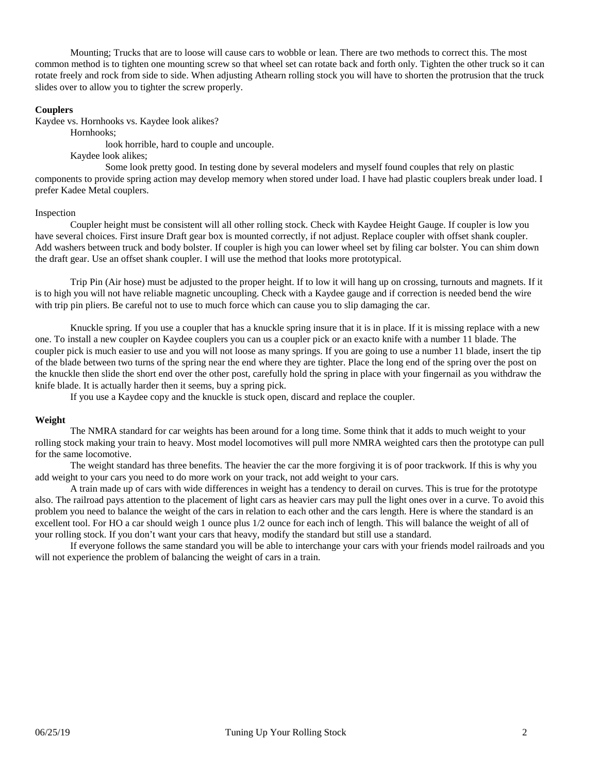Mounting; Trucks that are to loose will cause cars to wobble or lean. There are two methods to correct this. The most common method is to tighten one mounting screw so that wheel set can rotate back and forth only. Tighten the other truck so it can rotate freely and rock from side to side. When adjusting Athearn rolling stock you will have to shorten the protrusion that the truck slides over to allow you to tighter the screw properly.

#### **Couplers**

Kaydee vs. Hornhooks vs. Kaydee look alikes?

Hornhooks;

look horrible, hard to couple and uncouple.

Kaydee look alikes;

Some look pretty good. In testing done by several modelers and myself found couples that rely on plastic components to provide spring action may develop memory when stored under load. I have had plastic couplers break under load. I prefer Kadee Metal couplers.

#### Inspection

Coupler height must be consistent will all other rolling stock. Check with Kaydee Height Gauge. If coupler is low you have several choices. First insure Draft gear box is mounted correctly, if not adjust. Replace coupler with offset shank coupler. Add washers between truck and body bolster. If coupler is high you can lower wheel set by filing car bolster. You can shim down the draft gear. Use an offset shank coupler. I will use the method that looks more prototypical.

Trip Pin (Air hose) must be adjusted to the proper height. If to low it will hang up on crossing, turnouts and magnets. If it is to high you will not have reliable magnetic uncoupling. Check with a Kaydee gauge and if correction is needed bend the wire with trip pin pliers. Be careful not to use to much force which can cause you to slip damaging the car.

Knuckle spring. If you use a coupler that has a knuckle spring insure that it is in place. If it is missing replace with a new one. To install a new coupler on Kaydee couplers you can us a coupler pick or an exacto knife with a number 11 blade. The coupler pick is much easier to use and you will not loose as many springs. If you are going to use a number 11 blade, insert the tip of the blade between two turns of the spring near the end where they are tighter. Place the long end of the spring over the post on the knuckle then slide the short end over the other post, carefully hold the spring in place with your fingernail as you withdraw the knife blade. It is actually harder then it seems, buy a spring pick.

If you use a Kaydee copy and the knuckle is stuck open, discard and replace the coupler.

## **Weight**

The NMRA standard for car weights has been around for a long time. Some think that it adds to much weight to your rolling stock making your train to heavy. Most model locomotives will pull more NMRA weighted cars then the prototype can pull for the same locomotive.

The weight standard has three benefits. The heavier the car the more forgiving it is of poor trackwork. If this is why you add weight to your cars you need to do more work on your track, not add weight to your cars.

A train made up of cars with wide differences in weight has a tendency to derail on curves. This is true for the prototype also. The railroad pays attention to the placement of light cars as heavier cars may pull the light ones over in a curve. To avoid this problem you need to balance the weight of the cars in relation to each other and the cars length. Here is where the standard is an excellent tool. For HO a car should weigh 1 ounce plus  $1/2$  ounce for each inch of length. This will balance the weight of all of your rolling stock. If you don't want your cars that heavy, modify the standard but still use a standard.

If everyone follows the same standard you will be able to interchange your cars with your friends model railroads and you will not experience the problem of balancing the weight of cars in a train.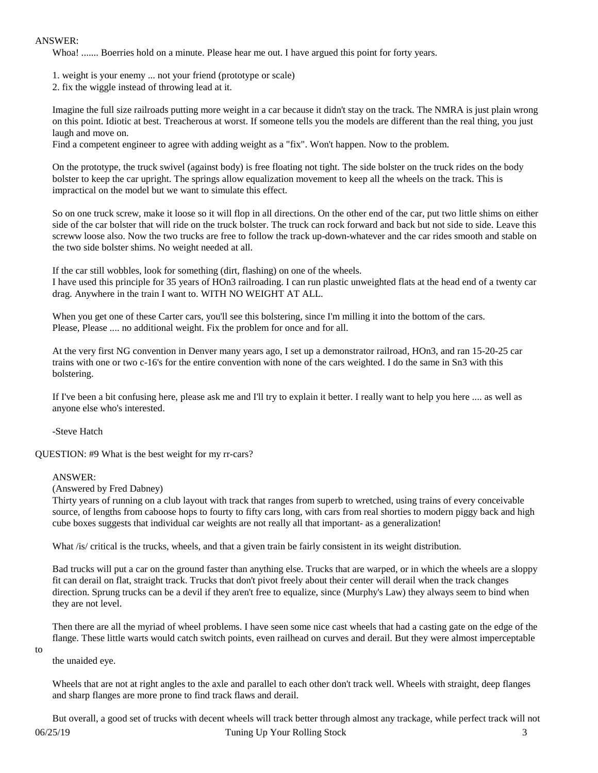## ANSWER:

Whoa! ....... Boerries hold on a minute. Please hear me out. I have argued this point for forty years.

- 1. weight is your enemy ... not your friend (prototype or scale)
- 2. fix the wiggle instead of throwing lead at it.

 Imagine the full size railroads putting more weight in a car because it didn't stay on the track. The NMRA is just plain wrong on this point. Idiotic at best. Treacherous at worst. If someone tells you the models are different than the real thing, you just laugh and move on.

Find a competent engineer to agree with adding weight as a "fix". Won't happen. Now to the problem.

 On the prototype, the truck swivel (against body) is free floating not tight. The side bolster on the truck rides on the body bolster to keep the car upright. The springs allow equalization movement to keep all the wheels on the track. This is impractical on the model but we want to simulate this effect.

 So on one truck screw, make it loose so it will flop in all directions. On the other end of the car, put two little shims on either side of the car bolster that will ride on the truck bolster. The truck can rock forward and back but not side to side. Leave this screww loose also. Now the two trucks are free to follow the track up-down-whatever and the car rides smooth and stable on the two side bolster shims. No weight needed at all.

 If the car still wobbles, look for something (dirt, flashing) on one of the wheels. I have used this principle for 35 years of HOn3 railroading. I can run plastic unweighted flats at the head end of a twenty car drag. Anywhere in the train I want to. WITH NO WEIGHT AT ALL.

When you get one of these Carter cars, you'll see this bolstering, since I'm milling it into the bottom of the cars. Please, Please .... no additional weight. Fix the problem for once and for all.

 At the very first NG convention in Denver many years ago, I set up a demonstrator railroad, HOn3, and ran 15-20-25 car trains with one or two c-16's for the entire convention with none of the cars weighted. I do the same in Sn3 with this bolstering.

 If I've been a bit confusing here, please ask me and I'll try to explain it better. I really want to help you here .... as well as anyone else who's interested.

-Steve Hatch

QUESTION: #9 What is the best weight for my rr-cars?

## ANSWER:

(Answered by Fred Dabney)

 Thirty years of running on a club layout with track that ranges from superb to wretched, using trains of every conceivable source, of lengths from caboose hops to fourty to fifty cars long, with cars from real shorties to modern piggy back and high cube boxes suggests that individual car weights are not really all that important- as a generalization!

What /is/ critical is the trucks, wheels, and that a given train be fairly consistent in its weight distribution.

 Bad trucks will put a car on the ground faster than anything else. Trucks that are warped, or in which the wheels are a sloppy fit can derail on flat, straight track. Trucks that don't pivot freely about their center will derail when the track changes direction. Sprung trucks can be a devil if they aren't free to equalize, since (Murphy's Law) they always seem to bind when they are not level.

 Then there are all the myriad of wheel problems. I have seen some nice cast wheels that had a casting gate on the edge of the flange. These little warts would catch switch points, even railhead on curves and derail. But they were almost imperceptable

to

the unaided eye.

 Wheels that are not at right angles to the axle and parallel to each other don't track well. Wheels with straight, deep flanges and sharp flanges are more prone to find track flaws and derail.

06/25/19 Tuning Up Your Rolling Stock 3 But overall, a good set of trucks with decent wheels will track better through almost any trackage, while perfect track will not